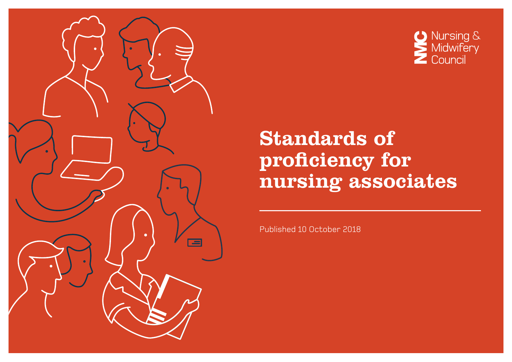



# Standards of proficiency for nursing associates

Published 10 October 2018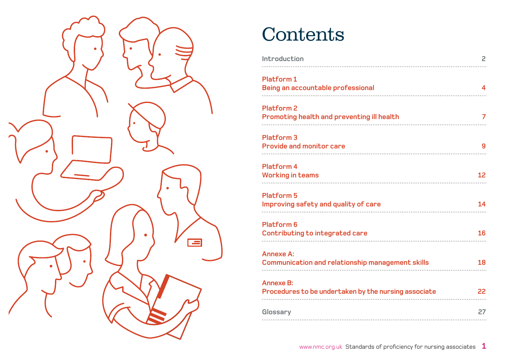

# **Contents**

| Introduction                                                                | 2  |
|-----------------------------------------------------------------------------|----|
| <b>Platform1</b><br>Being an accountable professional                       | 4  |
| <b>Platform 2</b><br><b>Promoting health and preventing ill health</b>      | 7  |
| <b>Platform 3</b><br><b>Provide and monitor care</b>                        | g  |
| <b>Platform 4</b><br><b>Working in teams</b>                                | 12 |
| <b>Platform 5</b><br>Improving safety and quality of care                   | 14 |
| <b>Platform 6</b><br><b>Contributing to integrated care</b>                 | 16 |
| <b>Annexe A:</b><br><b>Communication and relationship management skills</b> | 18 |
| <b>Annexe B:</b><br>Procedures to be undertaken by the nursing associate    | 22 |
| Glossary                                                                    | 27 |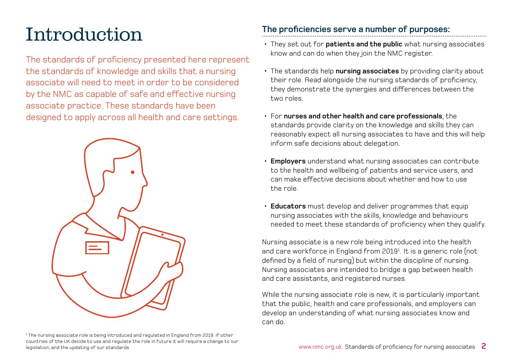# <span id="page-2-0"></span>Introduction

The standards of proficiency presented here represent the standards of knowledge and skills that a nursing associate will need to meet in order to be considered by the NMC as capable of safe and effective nursing associate practice. These standards have been designed to apply across all health and care settings.



1 The nursing associate role is being introduced and regulated in England from 2019. If other countries of the UK decide to use and regulate the role in future it will require a change to our legislation, and the updating of our standards

### **The proficiencies serve a number of purposes:**

- They set out for **patients and the public** what nursing associates know and can do when they join the NMC register.
- The standards help **nursing associates** by providing clarity about their role. Read alongside the nursing standards of proficiency, they demonstrate the synergies and differences between the two roles.
- For **nurses and other health and care professionals**, the standards provide clarity on the knowledge and skills they can reasonably expect all nursing associates to have and this will help inform safe decisions about delegation.
- **Employers** understand what nursing associates can contribute to the health and wellbeing of patients and service users, and can make effective decisions about whether and how to use the role.
- **Educators** must develop and deliver programmes that equip nursing associates with the skills, knowledge and behaviours needed to meet these standards of proficiency when they qualify.

Nursing associate is a new role being introduced into the health and care workforce in England from 20191 . It is a generic role (not defined by a field of nursing) but within the discipline of nursing. Nursing associates are intended to bridge a gap between health and care assistants, and registered nurses.

While the nursing associate role is new, it is particularly important that the public, health and care professionals, and employers can develop an understanding of what nursing associates know and can do.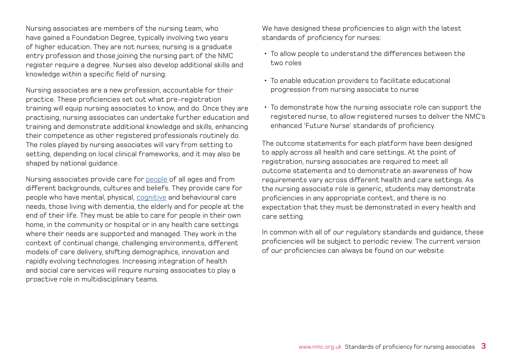Nursing associates are members of the nursing team, who have gained a Foundation Degree, typically involving two years of higher education. They are not nurses; nursing is a graduate entry profession and those joining the nursing part of the NMC register require a degree. Nurses also develop additional skills and knowledge within a specific field of nursing.

Nursing associates are a new profession, accountable for their practice. These proficiencies set out what pre-registration training will equip nursing associates to know, and do. Once they are practising, nursing associates can undertake further education and training and demonstrate additional knowledge and skills, enhancing their competence as other registered professionals routinely do. The roles played by nursing associates will vary from setting to setting, depending on local clinical frameworks, and it may also be shaped by national guidance.

Nursing associates provide care for [people](#page-28-0) of all ages and from different backgrounds, cultures and beliefs. They provide care for people who have mental, physical, [cognitive](#page-27-0) and behavioural care needs, those living with dementia, the elderly and for people at the end of their life. They must be able to care for people in their own home, in the community or hospital or in any health care settings where their needs are supported and managed. They work in the context of continual change, challenging environments, different models of care delivery, shifting demographics, innovation and rapidly evolving technologies. Increasing integration of health and social care services will require nursing associates to play a proactive role in multidisciplinary teams.

We have designed these proficiencies to align with the latest standards of proficiency for nurses:

- To allow people to understand the differences between the two roles
- To enable education providers to facilitate educational progression from nursing associate to nurse
- To demonstrate how the nursing associate role can support the registered nurse, to allow registered nurses to deliver the NMC's enhanced 'Future Nurse' standards of proficiency.

The outcome statements for each platform have been designed to apply across all health and care settings. At the point of registration, nursing associates are required to meet all outcome statements and to demonstrate an awareness of how requirements vary across different health and care settings. As the nursing associate role is generic, students may demonstrate proficiencies in any appropriate context, and there is no expectation that they must be demonstrated in every health and care setting.

In common with all of our regulatory standards and guidance, these proficiencies will be subject to periodic review. The current version of our proficiencies can always be found on our website.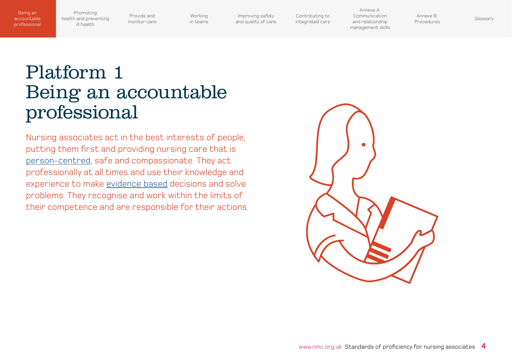<span id="page-4-0"></span>Promoting [health and preventing](#page-7-0)  ill health

Provide and [monitor care](#page-9-0)

[Working](#page-12-0)  in teams

Improving safety [and quality of care](#page-14-0) [Contributing to](#page-16-0)  integrated care

Annexe A: Communication and relationship [management skills](#page-18-0)

Annexe B: Annexe D.<br>[Procedures](#page-22-0) [Glossary](#page-27-0)

# Platform 1 Being an accountable professional

Nursing associates act in the best interests of people, putting them first and providing nursing care that is [person-centred,](#page-28-0) safe and compassionate. They act professionally at all times and use their knowledge and experience to make [evidence based](#page-27-0) decisions and solve problems. They recognise and work within the limits of their competence and are responsible for their actions.

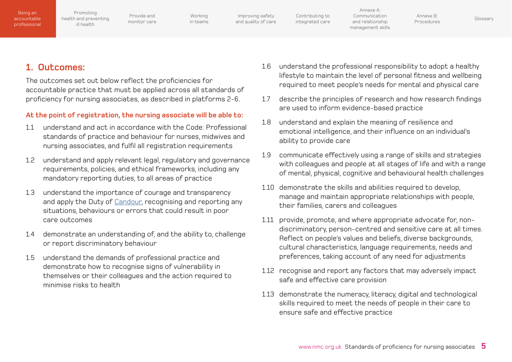| Being an<br>accountable<br>professional | Promoting<br>health and preventing<br>ill health | Provide and<br>monitor care | Working<br>in teams | Improving safety<br>and quality of care | Contributing to<br>integrated care | Annexe A:<br>Communication<br>and relationship<br>management skills | Annexe B:<br>Procedures | Glossary |
|-----------------------------------------|--------------------------------------------------|-----------------------------|---------------------|-----------------------------------------|------------------------------------|---------------------------------------------------------------------|-------------------------|----------|
|                                         |                                                  |                             |                     |                                         |                                    |                                                                     |                         |          |

### **1. Outcomes:**

The outcomes set out below reflect the proficiencies for accountable practice that must be applied across all standards of proficiency for nursing associates, as described in platforms 2-6.

#### **At the point of registration, the nursing associate will be able to:**

- 1.1 understand and act in accordance with the Code: Professional standards of practice and behaviour for nurses, midwives and nursing associates, and fulfil all registration requirements
- 1.2 understand and apply relevant legal, regulatory and governance requirements, policies, and ethical frameworks, including any mandatory reporting duties, to all areas of practice
- 1.3 understand the importance of courage and transparency and apply the Duty of [Candour,](#page-27-0) recognising and reporting any situations, behaviours or errors that could result in poor care outcomes
- 1.4 demonstrate an understanding of, and the ability to, challenge or report discriminatory behaviour
- 1.5 understand the demands of professional practice and demonstrate how to recognise signs of vulnerability in themselves or their colleagues and the action required to minimise risks to health
- 1.6 understand the professional responsibility to adopt a healthy lifestyle to maintain the level of personal fitness and wellbeing required to meet people's needs for mental and physical care
- 1.7 describe the principles of research and how research findings are used to inform evidence-based practice
- 1.8 understand and explain the meaning of resilience and emotional intelligence, and their influence on an individual's ability to provide care
- 1.9 communicate effectively using a range of skills and strategies with colleagues and people at all stages of life and with a range of mental, physical, cognitive and behavioural health challenges
- 1.10 demonstrate the skills and abilities required to develop, manage and maintain appropriate relationships with people, their families, carers and colleagues
- 1.11 provide, promote, and where appropriate advocate for, nondiscriminatory, person-centred and sensitive care at all times. Reflect on people's values and beliefs, diverse backgrounds, cultural characteristics, language requirements, needs and preferences, taking account of any need for adjustments
- 1.12 recognise and report any factors that may adversely impact safe and effective care provision
- 1.13 demonstrate the numeracy, literacy, digital and technological skills required to meet the needs of people in their care to ensure safe and effective practice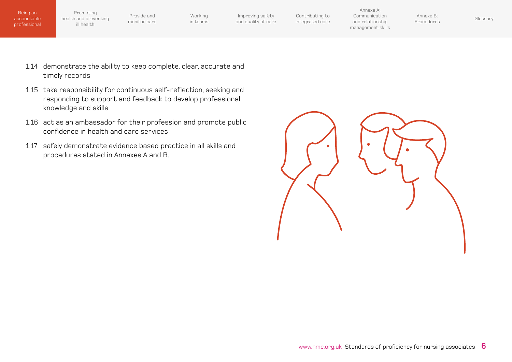Promoting [health and preventing](#page-7-0)  ill health

Provide and [monitor care](#page-9-0)

[Working](#page-12-0)  in teams

Improving safety [and quality of care](#page-14-0)

[Contributing to](#page-16-0)  integrated care

Annexe A: Communication and relationship [management skills](#page-18-0)

Annexe B: Armexe D.<br>[Procedures](#page-22-0) [Glossary](#page-27-0)

- 1.14 demonstrate the ability to keep complete, clear, accurate and timely records
- 1.15 take responsibility for continuous self-reflection, seeking and responding to support and feedback to develop professional knowledge and skills
- 1.16 act as an ambassador for their profession and promote public confidence in health and care services
- 1.17 safely demonstrate evidence based practice in all skills and procedures stated in Annexes A and B.

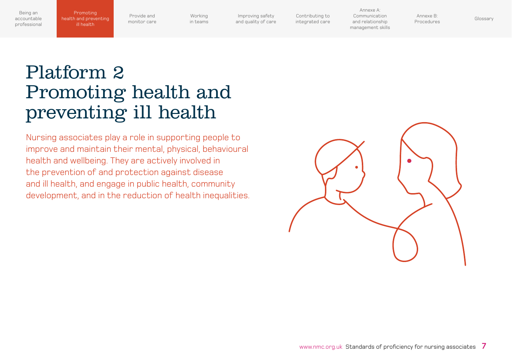Provide and [monitor care](#page-9-0)

<span id="page-7-0"></span>Promoting health and preventing ill health

[Working](#page-12-0)  in teams

Improving safety [and quality of care](#page-14-0) [Contributing to](#page-16-0)  integrated care

Annexe A: Communication and relationship [management skills](#page-18-0)

Annexe B: Annexe D.<br>[Procedures](#page-22-0) [Glossary](#page-27-0)

# Platform 2 Promoting health and preventing ill health

Nursing associates play a role in supporting people to improve and maintain their mental, physical, behavioural health and wellbeing. They are actively involved in the prevention of and protection against disease and ill health, and engage in public health, community development, and in the reduction of health inequalities.

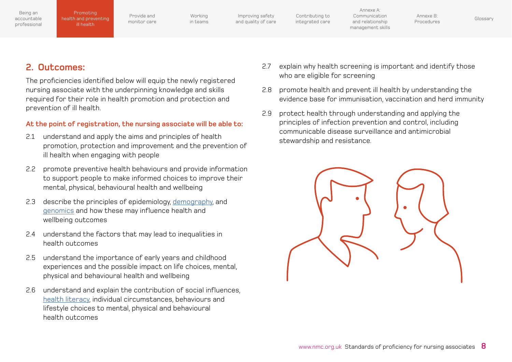| Being an     |  |
|--------------|--|
| accountable  |  |
| professional |  |

Provide and [monitor care](#page-9-0)

[Working](#page-12-0)  in teams

Improving safety [and quality of care](#page-14-0) [Contributing to](#page-16-0)  integrated care

Annexe A: Communication and relationship [management skills](#page-18-0)

Annexe B: Annexe D.<br>[Procedures](#page-22-0) [Glossary](#page-27-0)

### **2. Outcomes:**

The proficiencies identified below will equip the newly registered nursing associate with the underpinning knowledge and skills required for their role in health promotion and protection and prevention of ill health.

#### **At the point of registration, the nursing associate will be able to:**

- 2.1 understand and apply the aims and principles of health promotion, protection and improvement and the prevention of ill health when engaging with people
- 2.2 promote preventive health behaviours and provide information to support people to make informed choices to improve their mental, physical, behavioural health and wellbeing
- 2.3 describe the principles of epidemiology, [demography](#page-27-0), and [genomics](#page-27-0) and how these may influence health and wellbeing outcomes
- 2.4 understand the factors that may lead to inequalities in health outcomes
- 2.5 understand the importance of early years and childhood experiences and the possible impact on life choices, mental, physical and behavioural health and wellbeing
- 2.6 understand and explain the contribution of social influences, [health literacy,](#page-27-0) individual circumstances, behaviours and lifestyle choices to mental, physical and behavioural health outcomes
- 2.7 explain why health screening is important and identify those who are eligible for screening
- 2.8 promote health and prevent ill health by understanding the evidence base for immunisation, vaccination and herd immunity
- 2.9 protect health through understanding and applying the principles of infection prevention and control, including communicable disease surveillance and antimicrobial stewardship and resistance.

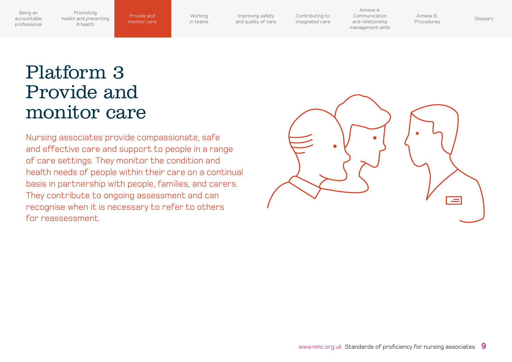<span id="page-9-0"></span>Promoting [health and preventing](#page-7-0)  ill health

monitor care

[Working](#page-12-0)  in teams

Improving safety [and quality of care](#page-14-0) [Contributing to](#page-16-0)  integrated care

Annexe A: Communication and relationship [management skills](#page-18-0) [Procedures](#page-22-0) [Glossary](#page-27-0) Provide and

Annexe B:

# Platform 3 Provide and monitor care

Nursing associates provide compassionate, safe and effective care and support to people in a range of care settings. They monitor the condition and health needs of people within their care on a continual basis in partnership with people, families, and carers. They contribute to ongoing assessment and can recognise when it is necessary to refer to others for reassessment.

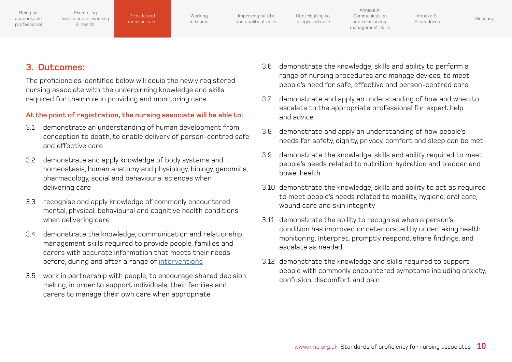[Working](#page-12-0)  in teams

Improving safety [and quality of care](#page-14-0) [Contributing to](#page-16-0)  integrated care

Annexe A: Communication and relationship [management skills](#page-18-0)

Annexe B: Annexe D.<br>[Procedures](#page-22-0) [Glossary](#page-27-0)

### **3. Outcomes:**

The proficiencies identified below will equip the newly registered nursing associate with the underpinning knowledge and skills required for their role in providing and monitoring care.

#### **At the point of registration, the nursing associate will be able to:**

- 3.1 demonstrate an understanding of human development from conception to death, to enable delivery of person-centred safe and effective care
- 3.2 demonstrate and apply knowledge of body systems and homeostasis, human anatomy and physiology, biology, genomics, pharmacology, social and behavioural sciences when delivering care
- 3.3 recognise and apply knowledge of commonly encountered mental, physical, behavioural and cognitive health conditions when delivering care
- 3.4 demonstrate the knowledge, communication and relationship management skills required to provide people, families and carers with accurate information that meets their needs before, during and after a range of [interventions](#page-28-0)
- 3.5 work in partnership with people, to encourage shared decision making, in order to support individuals, their families and carers to manage their own care when appropriate
- 3.6 demonstrate the knowledge, skills and ability to perform a range of nursing procedures and manage devices, to meet people's need for safe, effective and person-centred care
- 3.7 demonstrate and apply an understanding of how and when to escalate to the appropriate professional for expert help and advice
- 3.8 demonstrate and apply an understanding of how people's needs for safety, dignity, privacy, comfort and sleep can be met
- 3.9 demonstrate the knowledge, skills and ability required to meet people's needs related to nutrition, hydration and bladder and bowel health
- 3.10 demonstrate the knowledge, skills and ability to act as required to meet people's needs related to mobility, hygiene, oral care, wound care and skin integrity
- 3.11 demonstrate the ability to recognise when a person's condition has improved or deteriorated by undertaking health monitoring. Interpret, promptly respond, share findings, and escalate as needed
- 3.12 demonstrate the knowledge and skills required to support people with commonly encountered symptoms including anxiety, confusion, discomfort and pain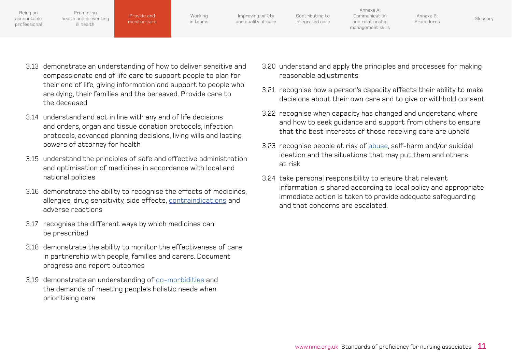| Being an<br>accountable<br>professional | Promoting<br>health and preventing<br>ill health | Provide and<br>monitor care | Working<br>in teams | Improving safety<br>and quality of care | Contributing to<br>integrated care | Annexe A:<br>Communication<br>and relationship<br>management skills | Annexe B:<br>Procedures | Glossary |
|-----------------------------------------|--------------------------------------------------|-----------------------------|---------------------|-----------------------------------------|------------------------------------|---------------------------------------------------------------------|-------------------------|----------|
|                                         |                                                  |                             |                     |                                         |                                    |                                                                     |                         |          |

- 3.13 demonstrate an understanding of how to deliver sensitive and compassionate end of life care to support people to plan for their end of life, giving information and support to people who are dying, their families and the bereaved. Provide care to the deceased
- 3.14 understand and act in line with any end of life decisions and orders, organ and tissue donation protocols, infection protocols, advanced planning decisions, living wills and lasting powers of attorney for health
- 3.15 understand the principles of safe and effective administration and optimisation of medicines in accordance with local and national policies
- 3.16 demonstrate the ability to recognise the effects of medicines, allergies, drug sensitivity, side effects, [contraindications](#page-27-0) and adverse reactions
- 3.17 recognise the different ways by which medicines can be prescribed
- 3.18 demonstrate the ability to monitor the effectiveness of care in partnership with people, families and carers. Document progress and report outcomes
- 3.19 demonstrate an understanding of [co-morbidities](#page-27-0) and the demands of meeting people's holistic needs when prioritising care
- 3.20 understand and apply the principles and processes for making reasonable adjustments
- 3.21 recognise how a person's capacity affects their ability to make decisions about their own care and to give or withhold consent
- 3.22 recognise when capacity has changed and understand where and how to seek guidance and support from others to ensure that the best interests of those receiving care are upheld
- 3.23 recognise people at risk of [abuse,](#page-27-0) self-harm and/or suicidal ideation and the situations that may put them and others at risk
- 3.24 take personal responsibility to ensure that relevant information is shared according to local policy and appropriate immediate action is taken to provide adequate safeguarding and that concerns are escalated.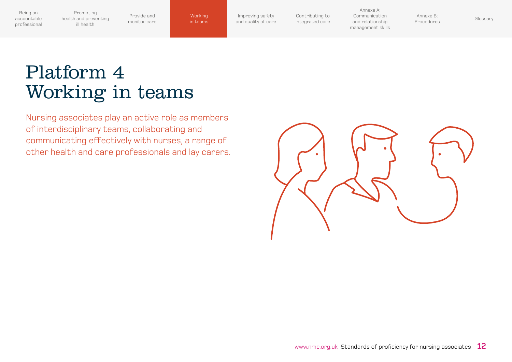<span id="page-12-0"></span>Promoting [health and preventing](#page-7-0)  ill health

Provide and [monitor care](#page-9-0) in teams

Improving safety [and quality of care](#page-14-0) [Contributing to](#page-16-0)  integrated care

Annexe A: Communication and relationship [management skills](#page-18-0) [Procedures](#page-22-0) [Glossary](#page-27-0) Working

Annexe B:<br>Procedures

# Platform 4 Working in teams

Nursing associates play an active role as members of interdisciplinary teams, collaborating and communicating effectively with nurses, a range of other health and care professionals and lay carers.

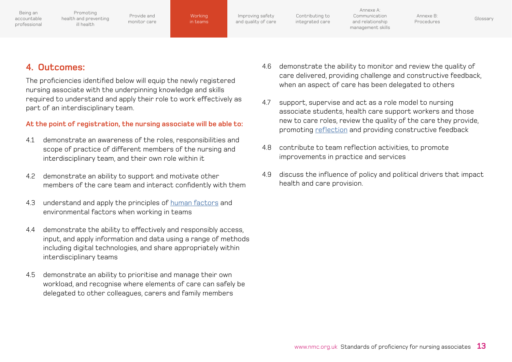[health and preventing](#page-7-0) 

Promoting

ill health

**Working** in teams

Improving safety [and quality of care](#page-14-0) [Procedures](#page-22-0) [Glossary](#page-27-0) Working

[Contributing to](#page-16-0)  integrated care

Annexe A: Communication and relationship [management skills](#page-18-0)

Annexe B:

### **4. Outcomes:**

The proficiencies identified below will equip the newly registered nursing associate with the underpinning knowledge and skills required to understand and apply their role to work effectively as part of an interdisciplinary team.

### **At the point of registration, the nursing associate will be able to:**

- 4.1 demonstrate an awareness of the roles, responsibilities and scope of practice of different members of the nursing and interdisciplinary team, and their own role within it
- 4.2 demonstrate an ability to support and motivate other members of the care team and interact confidently with them
- 4.3 understand and apply the principles of [human factors](#page-27-0) and environmental factors when working in teams
- 4.4 demonstrate the ability to effectively and responsibly access, input, and apply information and data using a range of methods including digital technologies, and share appropriately within interdisciplinary teams
- 4.5 demonstrate an ability to prioritise and manage their own workload, and recognise where elements of care can safely be delegated to other colleagues, carers and family members
- 4.6 demonstrate the ability to monitor and review the quality of care delivered, providing challenge and constructive feedback, when an aspect of care has been delegated to others
- 4.7 support, supervise and act as a role model to nursing associate students, health care support workers and those new to care roles, review the quality of the care they provide, promoting [reflection](#page-28-0) and providing constructive feedback
- 4.8 contribute to team reflection activities, to promote improvements in practice and services
- 4.9 discuss the influence of policy and political drivers that impact health and care provision.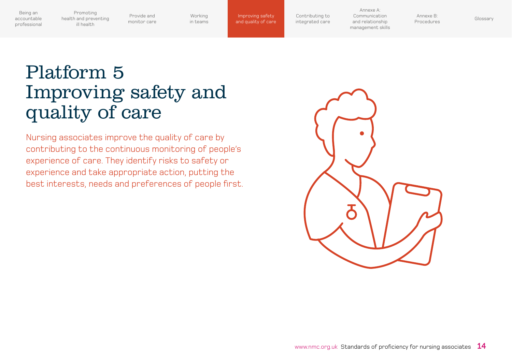<span id="page-14-0"></span>Promoting [health and preventing](#page-7-0)  ill health

Provide and [monitor care](#page-9-0)

[Working](#page-12-0)  in teams

and quality of care

[Contributing to](#page-16-0)  integrated care

Annexe A: Communication and relationship [management skills](#page-18-0) **Improving safety** Contributing to Communication Annexe B: Glossary<br><mark>nd quality of care</mark> integrated care and relationship [Procedures](#page-22-0) [Glossary](#page-27-0)

Annexe B:

# Platform 5 Improving safety and quality of care

Nursing associates improve the quality of care by contributing to the continuous monitoring of people's experience of care. They identify risks to safety or experience and take appropriate action, putting the best interests, needs and preferences of people first.

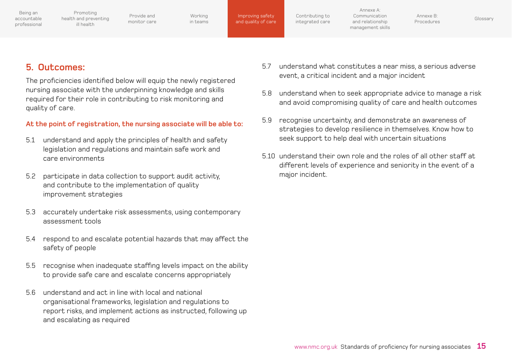Provide and [monitor care](#page-9-0)

[Working](#page-12-0)  in teams

Improving safety [and quality of care](#page-14-0) [Contributing to](#page-16-0)  integrated care

Annexe A: Communication and relationship [management skills](#page-18-0)

Annexe B: Annexe D.<br>[Procedures](#page-22-0) [Glossary](#page-27-0)

### **5. Outcomes:**

The proficiencies identified below will equip the newly registered nursing associate with the underpinning knowledge and skills required for their role in contributing to risk monitoring and quality of care.

### **At the point of registration, the nursing associate will be able to:**

- 5.1 understand and apply the principles of health and safety legislation and regulations and maintain safe work and care environments
- 5.2 participate in data collection to support audit activity, and contribute to the implementation of quality improvement strategies
- 5.3 accurately undertake risk assessments, using contemporary assessment tools
- 5.4 respond to and escalate potential hazards that may affect the safety of people
- 5.5 recognise when inadequate staffing levels impact on the ability to provide safe care and escalate concerns appropriately
- 5.6 understand and act in line with local and national organisational frameworks, legislation and regulations to report risks, and implement actions as instructed, following up and escalating as required
- 5.7 understand what constitutes a near miss, a serious adverse event, a critical incident and a major incident
- 5.8 understand when to seek appropriate advice to manage a risk and avoid compromising quality of care and health outcomes
- 5.9 recognise uncertainty, and demonstrate an awareness of strategies to develop resilience in themselves. Know how to seek support to help deal with uncertain situations
- 5.10 understand their own role and the roles of all other staff at different levels of experience and seniority in the event of a major incident.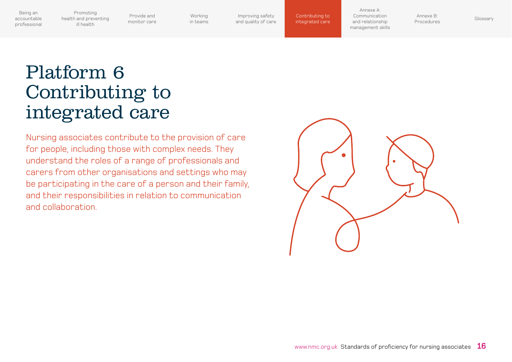<span id="page-16-0"></span>[health and preventing](#page-7-0) 

Provide and [monitor care](#page-9-0)

[Working](#page-12-0)  in teams

Improving safety [and quality of care](#page-14-0) integrated care

Annexe A: Communication and relationship [management skills](#page-18-0) [Procedures](#page-22-0) [Glossary](#page-27-0) Contributing to

Annexe B:

## Platform 6 Contributing to integrated care

Promoting

ill health

Nursing associates contribute to the provision of care for people, including those with complex needs. They understand the roles of a range of professionals and carers from other organisations and settings who may be participating in the care of a person and their family, and their responsibilities in relation to communication and collaboration.

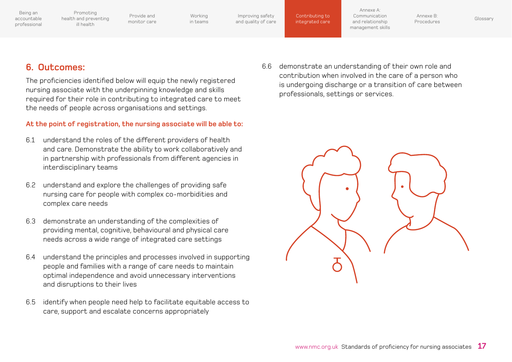Promoting [health and preventing](#page-7-0)  ill health

Provide and [monitor care](#page-9-0)

[Working](#page-12-0)  in teams

Improving safety [and quality of care](#page-14-0)

[Contributing to](#page-16-0)  integrated care

Annexe A: Communication and relationship [management skills](#page-18-0)

Annexe B: Annexe D.<br>[Procedures](#page-22-0) [Glossary](#page-27-0)

### **6. Outcomes:**

The proficiencies identified below will equip the newly registered nursing associate with the underpinning knowledge and skills required for their role in contributing to integrated care to meet the needs of people across organisations and settings.

### **At the point of registration, the nursing associate will be able to:**

- 6.1 understand the roles of the different providers of health and care. Demonstrate the ability to work collaboratively and in partnership with professionals from different agencies in interdisciplinary teams
- 6.2 understand and explore the challenges of providing safe nursing care for people with complex co-morbidities and complex care needs
- 6.3 demonstrate an understanding of the complexities of providing mental, cognitive, behavioural and physical care needs across a wide range of integrated care settings
- 6.4 understand the principles and processes involved in supporting people and families with a range of care needs to maintain optimal independence and avoid unnecessary interventions and disruptions to their lives
- 6.5 identify when people need help to facilitate equitable access to care, support and escalate concerns appropriately

6.6 demonstrate an understanding of their own role and contribution when involved in the care of a person who is undergoing discharge or a transition of care between professionals, settings or services.

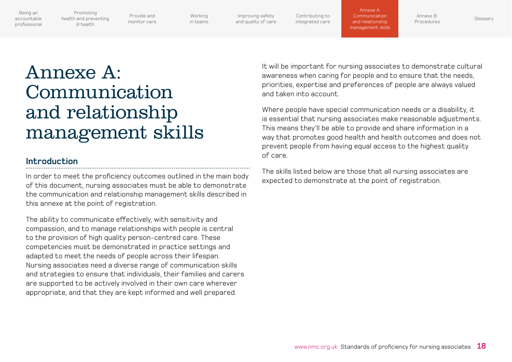<span id="page-18-0"></span>[health and preventing](#page-7-0) 

Promoting

ill health

Provide and [monitor care](#page-9-0)

[Working](#page-12-0)  in teams

Improving safety [and quality of care](#page-14-0) [Contributing to](#page-16-0)  integrated care

Annexe A: Communication and relationship management skills

Annexe B: [Procedures](#page-22-0) [Glossary](#page-27-0)

# Annexe A: Communication and relationship management skills

### **Introduction**

In order to meet the proficiency outcomes outlined in the main body of this document, nursing associates must be able to demonstrate the communication and relationship management skills described in this annexe at the point of registration.

The ability to communicate effectively, with sensitivity and compassion, and to manage relationships with people is central to the provision of high quality person-centred care. These competencies must be demonstrated in practice settings and adapted to meet the needs of people across their lifespan. Nursing associates need a diverse range of communication skills and strategies to ensure that individuals, their families and carers are supported to be actively involved in their own care wherever appropriate, and that they are kept informed and well prepared.

It will be important for nursing associates to demonstrate cultural awareness when caring for people and to ensure that the needs, priorities, expertise and preferences of people are always valued and taken into account.

Where people have special communication needs or a disability, it is essential that nursing associates make reasonable adjustments. This means they'll be able to provide and share information in a way that promotes good health and health outcomes and does not prevent people from having equal access to the highest quality of care.

The skills listed below are those that all nursing associates are expected to demonstrate at the point of registration.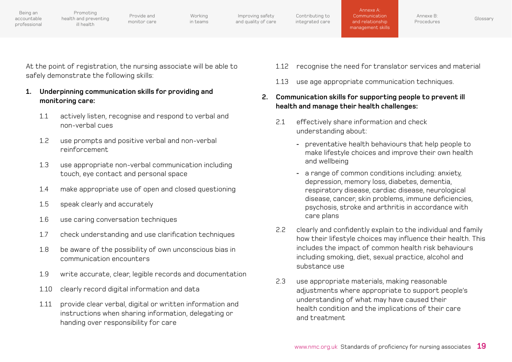Provide and [monitor care](#page-9-0)

[Working](#page-12-0)  in teams

Improving safety [and quality of care](#page-14-0) [Contributing to](#page-16-0)  integrated care

Annexe A: Communication and relationship Annexe A:<br>Communication<br>and relationship<br>management skills

At the point of registration, the nursing associate will be able to safely demonstrate the following skills:

- **1. Underpinning communication skills for providing and monitoring care:**
	- 1.1 actively listen, recognise and respond to verbal and non-verbal cues
	- 1.2 use prompts and positive verbal and non-verbal reinforcement
	- 1.3 use appropriate non-verbal communication including touch, eye contact and personal space
	- 1.4 make appropriate use of open and closed questioning
	- 1.5 speak clearly and accurately
	- 1.6 use caring conversation techniques
	- 1.7 check understanding and use clarification techniques
	- 1.8 be aware of the possibility of own unconscious bias in communication encounters
	- 1.9 write accurate, clear, legible records and documentation
	- 1.10 clearly record digital information and data
	- 1.11 provide clear verbal, digital or written information and instructions when sharing information, delegating or handing over responsibility for care
- 1.12 recognise the need for translator services and material
- 1.13 use age appropriate communication techniques.

### **2. Communication skills for supporting people to prevent ill health and manage their health challenges:**

- 2.1 effectively share information and check understanding about:
	- preventative health behaviours that help people to make lifestyle choices and improve their own health and wellbeing
	- a range of common conditions including: anxiety, depression, memory loss, diabetes, dementia, respiratory disease, cardiac disease, neurological disease, cancer, skin problems, immune deficiencies, psychosis, stroke and arthritis in accordance with care plans
- 2.2 clearly and confidently explain to the individual and family how their lifestyle choices may influence their health. This includes the impact of common health risk behaviours including smoking, diet, sexual practice, alcohol and substance use
- 2.3 use appropriate materials, making reasonable adjustments where appropriate to support people's understanding of what may have caused their health condition and the implications of their care and treatment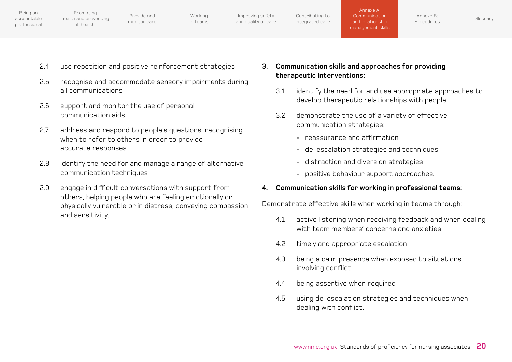| Being an<br>accountable<br>professional | Promoting<br>health and preventing<br>ill health | Provide and<br>monitor care | Working<br>in teams | Improving safety<br>and quality of care | Contributing to<br>integrated care | Annexe A:<br>Communication<br>and relationship<br>management skills | Annexe B:<br>Procedures | Glossary |
|-----------------------------------------|--------------------------------------------------|-----------------------------|---------------------|-----------------------------------------|------------------------------------|---------------------------------------------------------------------|-------------------------|----------|
|                                         |                                                  |                             |                     |                                         |                                    |                                                                     |                         |          |

- 2.4 use repetition and positive reinforcement strategies
- 2.5 recognise and accommodate sensory impairments during all communications
- 2.6 support and monitor the use of personal communication aids
- 2.7 address and respond to people's questions, recognising when to refer to others in order to provide accurate responses
- 2.8 identify the need for and manage a range of alternative communication techniques
- 2.9 engage in difficult conversations with support from others, helping people who are feeling emotionally or physically vulnerable or in distress, conveying compassion and sensitivity.
- **3. Communication skills and approaches for providing therapeutic interventions:**
	- 3.1 identify the need for and use appropriate approaches to develop therapeutic relationships with people
	- 3.2 demonstrate the use of a variety of effective communication strategies:
		- reassurance and affirmation
		- de-escalation strategies and techniques
		- distraction and diversion strategies
		- positive behaviour support approaches.

### **4. Communication skills for working in professional teams:**

Demonstrate effective skills when working in teams through:

- 4.1 active listening when receiving feedback and when dealing with team members' concerns and anxieties
- 4.2 timely and appropriate escalation
- 4.3 being a calm presence when exposed to situations involving conflict
- 4.4 being assertive when required
- 4.5 using de-escalation strategies and techniques when dealing with conflict.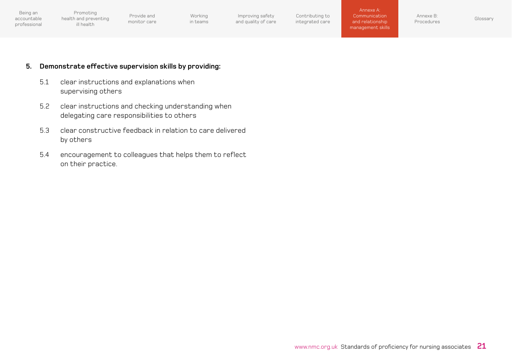Provide and [monitor care](#page-9-0)

[Working](#page-12-0)  in teams

Annexe B: Armexe D.<br>[Procedures](#page-22-0) [Glossary](#page-27-0)

#### **5. Demonstrate effective supervision skills by providing:**

- 5.1 clear instructions and explanations when supervising others
- 5.2 clear instructions and checking understanding when delegating care responsibilities to others
- 5.3 clear constructive feedback in relation to care delivered by others
- 5.4 encouragement to colleagues that helps them to reflect on their practice.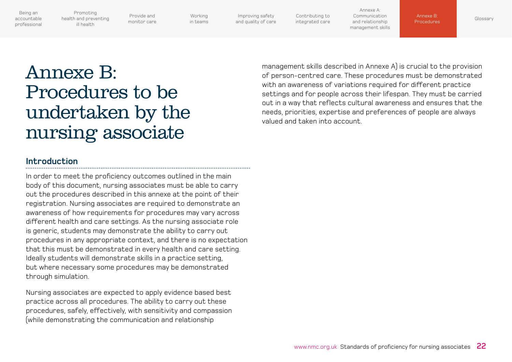<span id="page-22-0"></span>[health and preventing](#page-7-0) 

Promoting

ill health

Provide and [monitor care](#page-9-0)

[Working](#page-12-0)  in teams

Improving safety [and quality of care](#page-14-0) [Contributing to](#page-16-0)  integrated care

Annexe A: Communication and relationship [management skills](#page-18-0)

Annexe B: Contact Contact [Glossary](#page-27-0) Procedures

# Annexe B: Procedures to be undertaken by the nursing associate

### **Introduction**

In order to meet the proficiency outcomes outlined in the main body of this document, nursing associates must be able to carry out the procedures described in this annexe at the point of their registration. Nursing associates are required to demonstrate an awareness of how requirements for procedures may vary across different health and care settings. As the nursing associate role is generic, students may demonstrate the ability to carry out procedures in any appropriate context, and there is no expectation that this must be demonstrated in every health and care setting. Ideally students will demonstrate skills in a practice setting, but where necessary some procedures may be demonstrated through simulation.

Nursing associates are expected to apply evidence based best practice across all procedures. The ability to carry out these procedures, safely, effectively, with sensitivity and compassion (while demonstrating the communication and relationship

management skills described in Annexe A) is crucial to the provision of person-centred care. These procedures must be demonstrated with an awareness of variations required for different practice settings and for people across their lifespan. They must be carried out in a way that reflects cultural awareness and ensures that the needs, priorities, expertise and preferences of people are always valued and taken into account.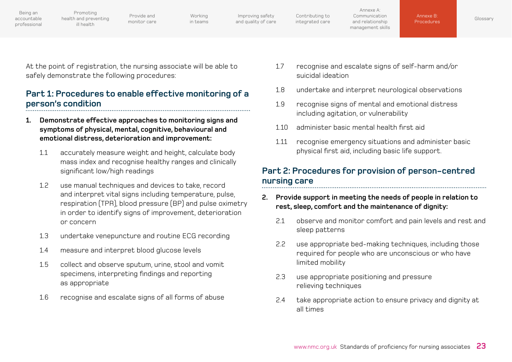Promoting [health and preventing](#page-7-0) 

ill health

Provide and [monitor care](#page-9-0)

[Working](#page-12-0)  in teams

Improving safety [and quality of care](#page-14-0) [Contributing to](#page-16-0)  integrated care

Annexe B:

At the point of registration, the nursing associate will be able to safely demonstrate the following procedures:

### **Part 1: Procedures to enable effective monitoring of a person's condition**

- **1. Demonstrate effective approaches to monitoring signs and symptoms of physical, mental, cognitive, behavioural and emotional distress, deterioration and improvement:**
	- 1.1 accurately measure weight and height, calculate body mass index and recognise healthy ranges and clinically significant low/high readings
	- 1.2 use manual techniques and devices to take, record and interpret vital signs including temperature, pulse, respiration (TPR), blood pressure (BP) and pulse oximetry in order to identify signs of improvement, deterioration or concern
	- 1.3 undertake venepuncture and routine ECG recording
	- 1.4 measure and interpret blood glucose levels
	- 1.5 collect and observe sputum, urine, stool and vomit specimens, interpreting findings and reporting as appropriate
	- 1.6 recognise and escalate signs of all forms of abuse
- 1.7 recognise and escalate signs of self-harm and/or suicidal ideation
- 1.8 undertake and interpret neurological observations
- 1.9 recognise signs of mental and emotional distress including agitation, or vulnerability
- 1.10 administer basic mental health first aid
- 1.11 recognise emergency situations and administer basic physical first aid, including basic life support.

### **Part 2: Procedures for provision of person-centred nursing care**

- **2. Provide support in meeting the needs of people in relation to rest, sleep, comfort and the maintenance of dignity:**
	- 2.1 observe and monitor comfort and pain levels and rest and sleep patterns
	- 2.2 use appropriate bed-making techniques, including those required for people who are unconscious or who have limited mobility
	- 2.3 use appropriate positioning and pressure relieving techniques
	- 2.4 take appropriate action to ensure privacy and dignity at all times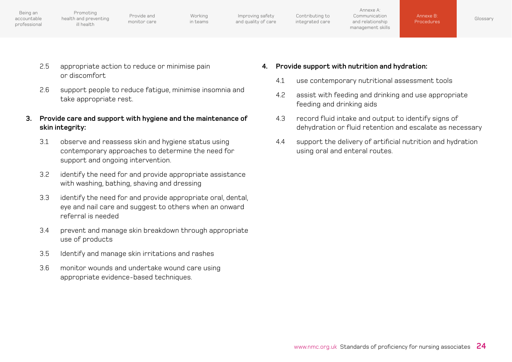| Being an<br>accountable<br>professional | Promoting<br>health and preventing<br>ill health | Provide and<br>monitor care | Working<br>in teams | Improving safety<br>and quality of care | Contributing to<br>integrated care | Annexe A:<br>Communication<br>and relationship<br>management skills | Annexe B:<br><b>Procedures</b> |  |
|-----------------------------------------|--------------------------------------------------|-----------------------------|---------------------|-----------------------------------------|------------------------------------|---------------------------------------------------------------------|--------------------------------|--|
|-----------------------------------------|--------------------------------------------------|-----------------------------|---------------------|-----------------------------------------|------------------------------------|---------------------------------------------------------------------|--------------------------------|--|

- 2.5 appropriate action to reduce or minimise pain or discomfort
- 2.6 support people to reduce fatigue, minimise insomnia and take appropriate rest.
- **3. Provide care and support with hygiene and the maintenance of skin integrity:**
	- 3.1 observe and reassess skin and hygiene status using contemporary approaches to determine the need for support and ongoing intervention.
	- 3.2 identify the need for and provide appropriate assistance with washing, bathing, shaving and dressing
	- 3.3 identify the need for and provide appropriate oral, dental, eye and nail care and suggest to others when an onward referral is needed
	- 3.4 prevent and manage skin breakdown through appropriate use of products
	- 3.5 Identify and manage skin irritations and rashes
	- 3.6 monitor wounds and undertake wound care using appropriate evidence-based techniques.
- **4. Provide support with nutrition and hydration:**
	- 4.1 use contemporary nutritional assessment tools
	- 4.2 assist with feeding and drinking and use appropriate feeding and drinking aids
	- 4.3 record fluid intake and output to identify signs of dehydration or fluid retention and escalate as necessary

[Glossary](#page-27-0)

4.4 support the delivery of artificial nutrition and hydration using oral and enteral routes.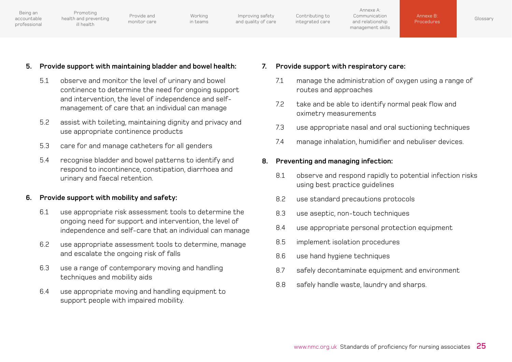[Contributing to](#page-16-0)  integrated care Being an accountable [professional](#page-4-0) Provide and [monitor care](#page-9-0) [Working](#page-12-0)  in teams Improving safety [and quality of care](#page-14-0) Annexe A: Communication and relationship [management skills](#page-18-0) Promoting [health and preventing](#page-7-0)  ill health Annexe B: [Procedures](#page-22-0) [Glossary](#page-27-0)

#### **5. Provide support with maintaining bladder and bowel health:**

- 5.1 observe and monitor the level of urinary and bowel continence to determine the need for ongoing support and intervention, the level of independence and selfmanagement of care that an individual can manage
- 5.2 assist with toileting, maintaining dignity and privacy and use appropriate continence products
- 5.3 care for and manage catheters for all genders
- 5.4 recognise bladder and bowel patterns to identify and respond to incontinence, constipation, diarrhoea and urinary and faecal retention.

#### **6. Provide support with mobility and safety:**

- 6.1 use appropriate risk assessment tools to determine the ongoing need for support and intervention, the level of independence and self-care that an individual can manage
- 6.2 use appropriate assessment tools to determine, manage and escalate the ongoing risk of falls
- 6.3 use a range of contemporary moving and handling techniques and mobility aids
- 6.4 use appropriate moving and handling equipment to support people with impaired mobility.
- **7. Provide support with respiratory care:** 
	- 7.1 manage the administration of oxygen using a range of routes and approaches
	- 7.2 take and be able to identify normal peak flow and oximetry measurements
	- 7.3 use appropriate nasal and oral suctioning techniques
	- 7.4 manage inhalation, humidifier and nebuliser devices.

#### **8. Preventing and managing infection:**

- 8.1 observe and respond rapidly to potential infection risks using best practice guidelines
- 8.2 use standard precautions protocols
- 8.3 use aseptic, non-touch techniques
- 8.4 use appropriate personal protection equipment
- 8.5 implement isolation procedures
- 8.6 use hand hygiene techniques
- 8.7 safely decontaminate equipment and environment
- 8.8 safely handle waste, laundry and sharps.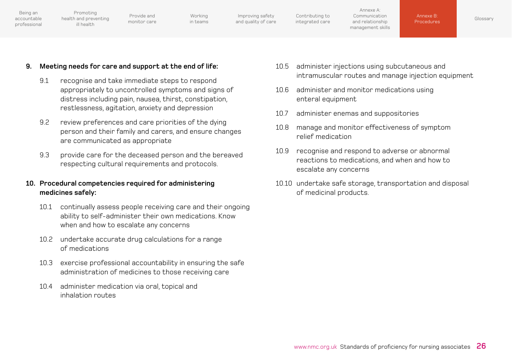| Being an<br>accountable<br>professional | Promoting<br>health and preventing<br>ill health | Provide and<br>monitor care | Working<br>in teams | Improving safety<br>and quality of care | Contributing to<br>integrated care | Annexe A:<br>Communication<br>and relationship<br>management skills | Annexe B:<br>Procedures | Glossary |
|-----------------------------------------|--------------------------------------------------|-----------------------------|---------------------|-----------------------------------------|------------------------------------|---------------------------------------------------------------------|-------------------------|----------|
|                                         |                                                  |                             |                     |                                         |                                    |                                                                     |                         |          |

#### **9. Meeting needs for care and support at the end of life:**

- 9.1 recognise and take immediate steps to respond appropriately to uncontrolled symptoms and signs of distress including pain, nausea, thirst, constipation, restlessness, agitation, anxiety and depression
- 9.2 review preferences and care priorities of the dying person and their family and carers, and ensure changes are communicated as appropriate
- 9.3 provide care for the deceased person and the bereaved respecting cultural requirements and protocols.

#### **10. Procedural competencies required for administering medicines safely:**

- 10.1 continually assess people receiving care and their ongoing ability to self-administer their own medications. Know when and how to escalate any concerns
- 10.2 undertake accurate drug calculations for a range of medications
- 10.3 exercise professional accountability in ensuring the safe administration of medicines to those receiving care
- 10.4 administer medication via oral, topical and inhalation routes
- 10.5 administer injections using subcutaneous and intramuscular routes and manage injection equipment
- 10.6 administer and monitor medications using enteral equipment
- 10.7 administer enemas and suppositories
- 10.8 manage and monitor effectiveness of symptom relief medication
- 10.9 recognise and respond to adverse or abnormal reactions to medications, and when and how to escalate any concerns
- 10.10 undertake safe storage, transportation and disposal of medicinal products.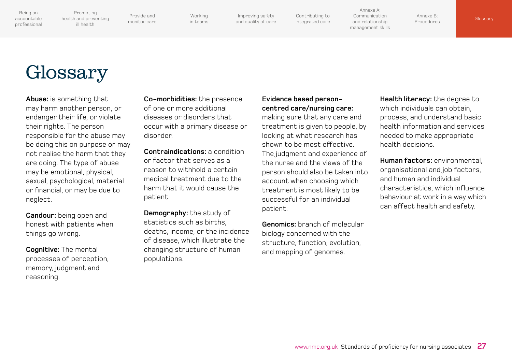<span id="page-27-0"></span>Promoting [health and preventing](#page-7-0)  ill health

Provide and [monitor care](#page-9-0)

[Working](#page-12-0)  in teams

Improving safety [and quality of care](#page-14-0)

[Contributing to](#page-16-0)  integrated care

Annexe A: Communication and relationship [management skills](#page-18-0)

Annexe B: [Procedures](#page-22-0) Glossary

# Glossary

**Abuse:** is something that may harm another person, or endanger their life, or violate their rights. The person responsible for the abuse may be doing this on purpose or may not realise the harm that they are doing. The type of abuse may be emotional, physical, sexual, psychological, material or financial, or may be due to neglect.

**Candour:** being open and honest with patients when things go wrong.

**Cognitive:** The mental processes of perception, memory, judgment and reasoning.

**Co-morbidities:** the presence of one or more additional diseases or disorders that occur with a primary disease or disorder.

**Contraindications:** a condition or factor that serves as a reason to withhold a certain medical treatment due to the harm that it would cause the patient.

**Demography:** the study of statistics such as births, deaths, income, or the incidence of disease, which illustrate the changing structure of human populations.

### **Evidence based personcentred care/nursing care:**

making sure that any care and treatment is given to people, by looking at what research has shown to be most effective. The judgment and experience of the nurse and the views of the person should also be taken into account when choosing which treatment is most likely to be successful for an individual patient.

**Genomics:** branch of molecular biology concerned with the structure, function, evolution, and mapping of genomes.

**Health literacy:** the degree to which individuals can obtain, process, and understand basic health information and services needed to make appropriate health decisions.

**Human factors:** environmental, organisational and job factors, and human and individual characteristics, which influence behaviour at work in a way which can affect health and safety.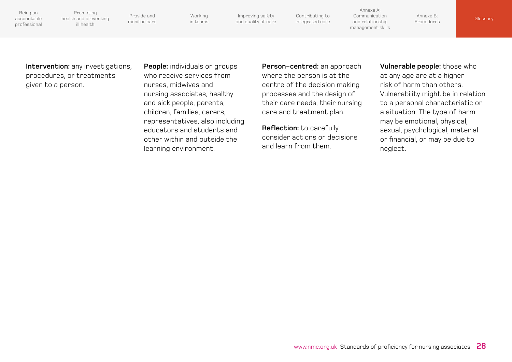<span id="page-28-0"></span>Being an accountable

[professional](#page-4-0)

Provide and [monitor care](#page-9-0) [health and preventing](#page-7-0) 

[Working](#page-12-0)  in teams

Improving safety [and quality of care](#page-14-0) [Contributing to](#page-16-0)  integrated care

Annexe A: Communication and relationship [management skills](#page-18-0)

Annexe B:

**[Procedures](#page-22-0) [Glossary](#page-27-0)** 

care and treatment plan.

**Reflection:** to carefully

and learn from them.

consider actions or decisions

**Person-centred:** an approach where the person is at the centre of the decision making processes and the design of their care needs, their nursing **Vulnerable people:** those who at any age are at a higher risk of harm than others. Vulnerability might be in relation to a personal characteristic or a situation. The type of harm may be emotional, physical, sexual, psychological, material or financial, or may be due to neglect.

**Intervention:** any investigations, procedures, or treatments given to a person.

Promoting

ill health

who receive services from nurses, midwives and nursing associates, healthy and sick people, parents, children, families, carers, representatives, also including educators and students and other within and outside the learning environment.

**People:** individuals or groups